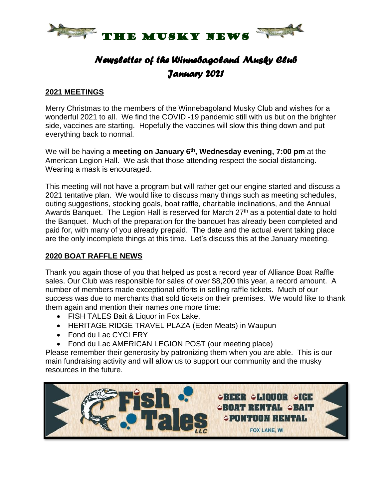

## *Newsletter of the Winnebagoland Musky Club January 2021*

#### **2021 MEETINGS**

Merry Christmas to the members of the Winnebagoland Musky Club and wishes for a wonderful 2021 to all. We find the COVID -19 pandemic still with us but on the brighter side, vaccines are starting. Hopefully the vaccines will slow this thing down and put everything back to normal.

We will be having a **meeting on January 6<sup>th</sup>, Wednesday evening, 7:00 pm** at the American Legion Hall. We ask that those attending respect the social distancing. Wearing a mask is encouraged.

This meeting will not have a program but will rather get our engine started and discuss a 2021 tentative plan. We would like to discuss many things such as meeting schedules, outing suggestions, stocking goals, boat raffle, charitable inclinations, and the Annual Awards Banquet. The Legion Hall is reserved for March 27<sup>th</sup> as a potential date to hold the Banquet. Much of the preparation for the banquet has already been completed and paid for, with many of you already prepaid. The date and the actual event taking place are the only incomplete things at this time. Let's discuss this at the January meeting.

### **2020 BOAT RAFFLE NEWS**

Thank you again those of you that helped us post a record year of Alliance Boat Raffle sales. Our Club was responsible for sales of over \$8,200 this year, a record amount. A number of members made exceptional efforts in selling raffle tickets. Much of our success was due to merchants that sold tickets on their premises. We would like to thank them again and mention their names one more time:

- FISH TALES Bait & Liquor in Fox Lake,
- HERITAGE RIDGE TRAVEL PLAZA (Eden Meats) in Waupun
- Fond du Lac CYCLERY
- Fond du Lac AMERICAN LEGION POST (our meeting place)

Please remember their generosity by patronizing them when you are able. This is our main fundraising activity and will allow us to support our community and the musky resources in the future.

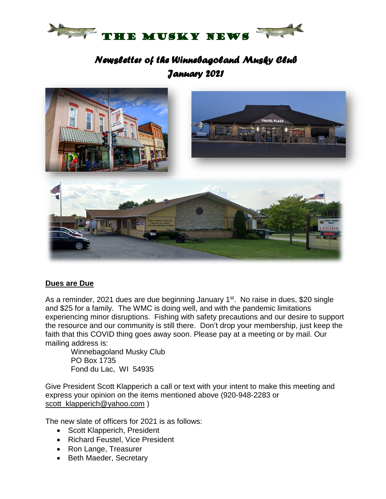

## *Newsletter of the Winnebagoland Musky Club January 2021*



#### **Dues are Due**

As a reminder, 2021 dues are due beginning January 1<sup>st</sup>. No raise in dues, \$20 single and \$25 for a family. The WMC is doing well, and with the pandemic limitations experiencing minor disruptions. Fishing with safety precautions and our desire to support the resource and our community is still there. Don't drop your membership, just keep the faith that this COVID thing goes away soon. Please pay at a meeting or by mail. Our mailing address is:

Winnebagoland Musky Club PO Box 1735 Fond du Lac, WI 54935

Give President Scott Klapperich a call or text with your intent to make this meeting and express your opinion on the items mentioned above (920-948-2283 or [scott\\_klapperich@yahoo.com](mailto:scott_klapperich@yahoo.com) )

The new slate of officers for 2021 is as follows:

- Scott Klapperich, President
- Richard Feustel, Vice President
- Ron Lange, Treasurer
- Beth Maeder, Secretary